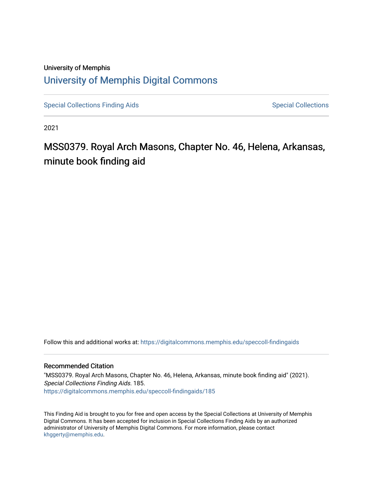### University of Memphis [University of Memphis Digital Commons](https://digitalcommons.memphis.edu/)

[Special Collections Finding Aids](https://digitalcommons.memphis.edu/speccoll-findingaids) [Special Collections](https://digitalcommons.memphis.edu/speccoll) Special Collections

2021

## MSS0379. Royal Arch Masons, Chapter No. 46, Helena, Arkansas, minute book finding aid

Follow this and additional works at: [https://digitalcommons.memphis.edu/speccoll-findingaids](https://digitalcommons.memphis.edu/speccoll-findingaids?utm_source=digitalcommons.memphis.edu%2Fspeccoll-findingaids%2F185&utm_medium=PDF&utm_campaign=PDFCoverPages)

#### Recommended Citation

"MSS0379. Royal Arch Masons, Chapter No. 46, Helena, Arkansas, minute book finding aid" (2021). Special Collections Finding Aids. 185. [https://digitalcommons.memphis.edu/speccoll-findingaids/185](https://digitalcommons.memphis.edu/speccoll-findingaids/185?utm_source=digitalcommons.memphis.edu%2Fspeccoll-findingaids%2F185&utm_medium=PDF&utm_campaign=PDFCoverPages) 

This Finding Aid is brought to you for free and open access by the Special Collections at University of Memphis Digital Commons. It has been accepted for inclusion in Special Collections Finding Aids by an authorized administrator of University of Memphis Digital Commons. For more information, please contact [khggerty@memphis.edu](mailto:khggerty@memphis.edu).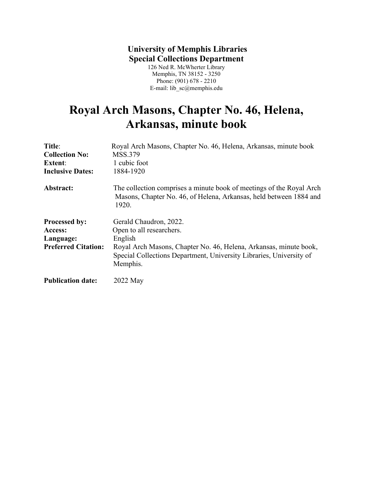### **University of Memphis Libraries Special Collections Department**

126 Ned R. McWherter Library Memphis, TN 38152 - 3250 Phone: (901) 678 - 2210 E-mail: lib\_sc@memphis.edu

# **Royal Arch Masons, Chapter No. 46, Helena, Arkansas, minute book**

| Title:                     | Royal Arch Masons, Chapter No. 46, Helena, Arkansas, minute book                                                                                    |
|----------------------------|-----------------------------------------------------------------------------------------------------------------------------------------------------|
| <b>Collection No:</b>      | <b>MSS.379</b>                                                                                                                                      |
| <b>Extent:</b>             | 1 cubic foot                                                                                                                                        |
| <b>Inclusive Dates:</b>    | 1884-1920                                                                                                                                           |
| Abstract:                  | The collection comprises a minute book of meetings of the Royal Arch<br>Masons, Chapter No. 46, of Helena, Arkansas, held between 1884 and<br>1920. |
| <b>Processed by:</b>       | Gerald Chaudron, 2022.                                                                                                                              |
| Access:                    | Open to all researchers.                                                                                                                            |
| Language:                  | English                                                                                                                                             |
| <b>Preferred Citation:</b> | Royal Arch Masons, Chapter No. 46, Helena, Arkansas, minute book,                                                                                   |
|                            | Special Collections Department, University Libraries, University of                                                                                 |
|                            | Memphis.                                                                                                                                            |
| <b>Publication date:</b>   | 2022 May                                                                                                                                            |